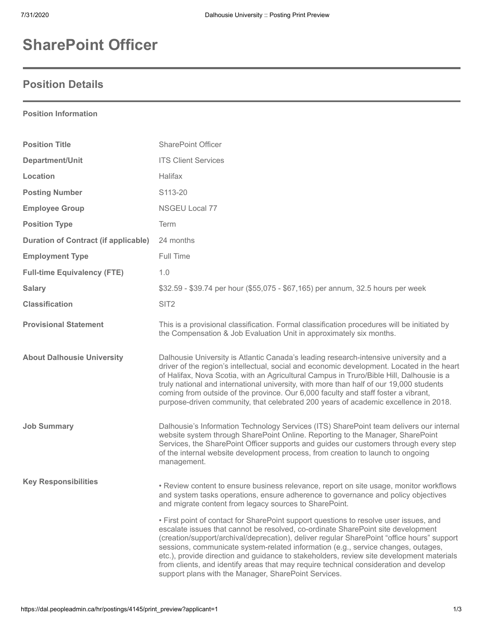## **SharePoint Officer**

## **Position Details**

| <b>Position Information</b>                 |                                                                                                                                                                                                                                                                                                                                                                                                                                                                                                                                                                                                           |
|---------------------------------------------|-----------------------------------------------------------------------------------------------------------------------------------------------------------------------------------------------------------------------------------------------------------------------------------------------------------------------------------------------------------------------------------------------------------------------------------------------------------------------------------------------------------------------------------------------------------------------------------------------------------|
| <b>Position Title</b>                       | <b>SharePoint Officer</b>                                                                                                                                                                                                                                                                                                                                                                                                                                                                                                                                                                                 |
| Department/Unit                             | <b>ITS Client Services</b>                                                                                                                                                                                                                                                                                                                                                                                                                                                                                                                                                                                |
| Location                                    | <b>Halifax</b>                                                                                                                                                                                                                                                                                                                                                                                                                                                                                                                                                                                            |
| <b>Posting Number</b>                       | S113-20                                                                                                                                                                                                                                                                                                                                                                                                                                                                                                                                                                                                   |
| <b>Employee Group</b>                       | NSGEU Local 77                                                                                                                                                                                                                                                                                                                                                                                                                                                                                                                                                                                            |
| <b>Position Type</b>                        | Term                                                                                                                                                                                                                                                                                                                                                                                                                                                                                                                                                                                                      |
| <b>Duration of Contract (if applicable)</b> | 24 months                                                                                                                                                                                                                                                                                                                                                                                                                                                                                                                                                                                                 |
| <b>Employment Type</b>                      | Full Time                                                                                                                                                                                                                                                                                                                                                                                                                                                                                                                                                                                                 |
| <b>Full-time Equivalency (FTE)</b>          | 1.0                                                                                                                                                                                                                                                                                                                                                                                                                                                                                                                                                                                                       |
| <b>Salary</b>                               | \$32.59 - \$39.74 per hour (\$55,075 - \$67,165) per annum, 32.5 hours per week                                                                                                                                                                                                                                                                                                                                                                                                                                                                                                                           |
| <b>Classification</b>                       | SIT <sub>2</sub>                                                                                                                                                                                                                                                                                                                                                                                                                                                                                                                                                                                          |
| <b>Provisional Statement</b>                | This is a provisional classification. Formal classification procedures will be initiated by<br>the Compensation & Job Evaluation Unit in approximately six months.                                                                                                                                                                                                                                                                                                                                                                                                                                        |
| <b>About Dalhousie University</b>           | Dalhousie University is Atlantic Canada's leading research-intensive university and a<br>driver of the region's intellectual, social and economic development. Located in the heart<br>of Halifax, Nova Scotia, with an Agricultural Campus in Truro/Bible Hill, Dalhousie is a<br>truly national and international university, with more than half of our 19,000 students<br>coming from outside of the province. Our 6,000 faculty and staff foster a vibrant,<br>purpose-driven community, that celebrated 200 years of academic excellence in 2018.                                                   |
| <b>Job Summary</b>                          | Dalhousie's Information Technology Services (ITS) SharePoint team delivers our internal<br>website system through SharePoint Online. Reporting to the Manager, SharePoint<br>Services, the SharePoint Officer supports and guides our customers through every step<br>of the internal website development process, from creation to launch to ongoing<br>management.                                                                                                                                                                                                                                      |
| <b>Key Responsibilities</b>                 | • Review content to ensure business relevance, report on site usage, monitor workflows<br>and system tasks operations, ensure adherence to governance and policy objectives<br>and migrate content from legacy sources to SharePoint.                                                                                                                                                                                                                                                                                                                                                                     |
|                                             | • First point of contact for SharePoint support questions to resolve user issues, and<br>escalate issues that cannot be resolved, co-ordinate SharePoint site development<br>(creation/support/archival/deprecation), deliver regular SharePoint "office hours" support<br>sessions, communicate system-related information (e.g., service changes, outages,<br>etc.), provide direction and guidance to stakeholders, review site development materials<br>from clients, and identify areas that may require technical consideration and develop<br>support plans with the Manager, SharePoint Services. |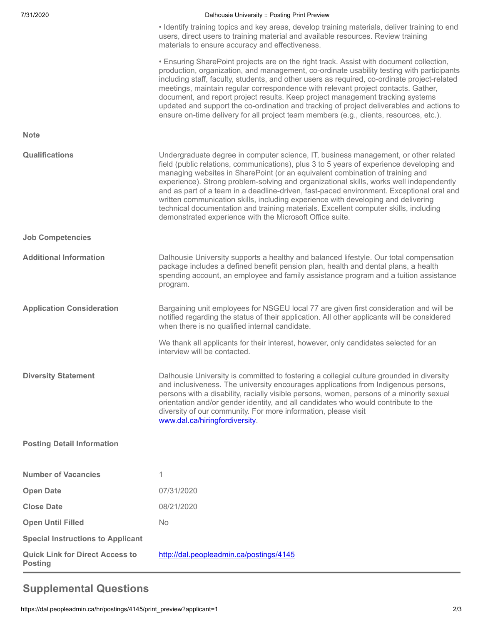| 7/31/2020                                                | Dalhousie University :: Posting Print Preview                                                                                                                                                                                                                                                                                                                                                                                                                                                                                                                                                                                                                                                    |
|----------------------------------------------------------|--------------------------------------------------------------------------------------------------------------------------------------------------------------------------------------------------------------------------------------------------------------------------------------------------------------------------------------------------------------------------------------------------------------------------------------------------------------------------------------------------------------------------------------------------------------------------------------------------------------------------------------------------------------------------------------------------|
|                                                          | • Identify training topics and key areas, develop training materials, deliver training to end<br>users, direct users to training material and available resources. Review training<br>materials to ensure accuracy and effectiveness.                                                                                                                                                                                                                                                                                                                                                                                                                                                            |
|                                                          | • Ensuring SharePoint projects are on the right track. Assist with document collection,<br>production, organization, and management, co-ordinate usability testing with participants<br>including staff, faculty, students, and other users as required, co-ordinate project-related<br>meetings, maintain regular correspondence with relevant project contacts. Gather,<br>document, and report project results. Keep project management tracking systems<br>updated and support the co-ordination and tracking of project deliverables and actions to<br>ensure on-time delivery for all project team members (e.g., clients, resources, etc.).                                               |
| <b>Note</b>                                              |                                                                                                                                                                                                                                                                                                                                                                                                                                                                                                                                                                                                                                                                                                  |
| <b>Qualifications</b>                                    | Undergraduate degree in computer science, IT, business management, or other related<br>field (public relations, communications), plus 3 to 5 years of experience developing and<br>managing websites in SharePoint (or an equivalent combination of training and<br>experience). Strong problem-solving and organizational skills, works well independently<br>and as part of a team in a deadline-driven, fast-paced environment. Exceptional oral and<br>written communication skills, including experience with developing and delivering<br>technical documentation and training materials. Excellent computer skills, including<br>demonstrated experience with the Microsoft Office suite. |
| <b>Job Competencies</b>                                  |                                                                                                                                                                                                                                                                                                                                                                                                                                                                                                                                                                                                                                                                                                  |
| <b>Additional Information</b>                            | Dalhousie University supports a healthy and balanced lifestyle. Our total compensation<br>package includes a defined benefit pension plan, health and dental plans, a health<br>spending account, an employee and family assistance program and a tuition assistance<br>program.                                                                                                                                                                                                                                                                                                                                                                                                                 |
| <b>Application Consideration</b>                         | Bargaining unit employees for NSGEU local 77 are given first consideration and will be<br>notified regarding the status of their application. All other applicants will be considered<br>when there is no qualified internal candidate.                                                                                                                                                                                                                                                                                                                                                                                                                                                          |
|                                                          | We thank all applicants for their interest, however, only candidates selected for an<br>interview will be contacted.                                                                                                                                                                                                                                                                                                                                                                                                                                                                                                                                                                             |
| <b>Diversity Statement</b>                               | Dalhousie University is committed to fostering a collegial culture grounded in diversity<br>and inclusiveness. The university encourages applications from Indigenous persons,<br>persons with a disability, racially visible persons, women, persons of a minority sexual<br>orientation and/or gender identity, and all candidates who would contribute to the<br>diversity of our community. For more information, please visit<br>www.dal.ca/hiringfordiversity.                                                                                                                                                                                                                             |
| <b>Posting Detail Information</b>                        |                                                                                                                                                                                                                                                                                                                                                                                                                                                                                                                                                                                                                                                                                                  |
| <b>Number of Vacancies</b>                               | 1                                                                                                                                                                                                                                                                                                                                                                                                                                                                                                                                                                                                                                                                                                |
| <b>Open Date</b>                                         | 07/31/2020                                                                                                                                                                                                                                                                                                                                                                                                                                                                                                                                                                                                                                                                                       |
| <b>Close Date</b>                                        | 08/21/2020                                                                                                                                                                                                                                                                                                                                                                                                                                                                                                                                                                                                                                                                                       |
| <b>Open Until Filled</b>                                 | <b>No</b>                                                                                                                                                                                                                                                                                                                                                                                                                                                                                                                                                                                                                                                                                        |
| <b>Special Instructions to Applicant</b>                 |                                                                                                                                                                                                                                                                                                                                                                                                                                                                                                                                                                                                                                                                                                  |
| <b>Quick Link for Direct Access to</b><br><b>Posting</b> | http://dal.peopleadmin.ca/postings/4145                                                                                                                                                                                                                                                                                                                                                                                                                                                                                                                                                                                                                                                          |

## **Supplemental Questions**